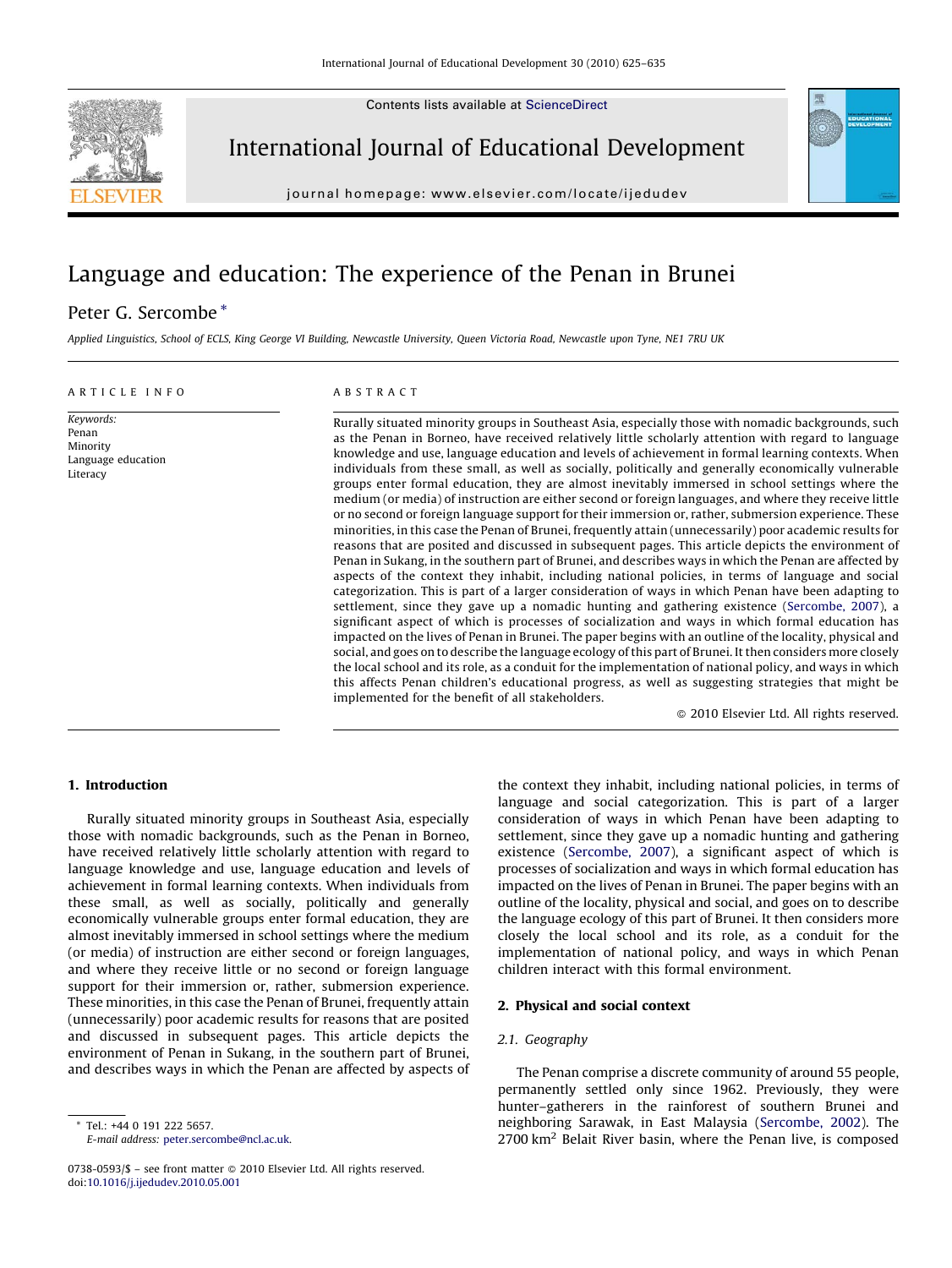Contents lists available at [ScienceDirect](http://www.sciencedirect.com/science/journal/07380593)



International Journal of Educational Development

journal homepage: www.elsevier.com/locate/ijedudev

# Language and education: The experience of the Penan in Brunei

# Peter G. Sercombe \*

Applied Linguistics, School of ECLS, King George VI Building, Newcastle University, Queen Victoria Road, Newcastle upon Tyne, NE1 7RU UK

#### ARTICLE INFO

Keywords: Penan Minority Language education **Literacy** 

# ABSTRACT

Rurally situated minority groups in Southeast Asia, especially those with nomadic backgrounds, such as the Penan in Borneo, have received relatively little scholarly attention with regard to language knowledge and use, language education and levels of achievement in formal learning contexts. When individuals from these small, as well as socially, politically and generally economically vulnerable groups enter formal education, they are almost inevitably immersed in school settings where the medium (or media) of instruction are either second or foreign languages, and where they receive little or no second or foreign language support for their immersion or, rather, submersion experience. These minorities, in this case the Penan of Brunei, frequently attain (unnecessarily) poor academic results for reasons that are posited and discussed in subsequent pages. This article depicts the environment of Penan in Sukang, in the southern part of Brunei, and describes ways in which the Penan are affected by aspects of the context they inhabit, including national policies, in terms of language and social categorization. This is part of a larger consideration of ways in which Penan have been adapting to settlement, since they gave up a nomadic hunting and gathering existence ([Sercombe, 2007](#page-10-0)), a significant aspect of which is processes of socialization and ways in which formal education has impacted on the lives of Penan in Brunei. The paper begins with an outline of the locality, physical and social, and goes on to describe the language ecology of this part of Brunei. It then considers more closely the local school and its role, as a conduit for the implementation of national policy, and ways in which this affects Penan children's educational progress, as well as suggesting strategies that might be implemented for the benefit of all stakeholders.

- 2010 Elsevier Ltd. All rights reserved.

## 1. Introduction

Rurally situated minority groups in Southeast Asia, especially those with nomadic backgrounds, such as the Penan in Borneo, have received relatively little scholarly attention with regard to language knowledge and use, language education and levels of achievement in formal learning contexts. When individuals from these small, as well as socially, politically and generally economically vulnerable groups enter formal education, they are almost inevitably immersed in school settings where the medium (or media) of instruction are either second or foreign languages, and where they receive little or no second or foreign language support for their immersion or, rather, submersion experience. These minorities, in this case the Penan of Brunei, frequently attain (unnecessarily) poor academic results for reasons that are posited and discussed in subsequent pages. This article depicts the environment of Penan in Sukang, in the southern part of Brunei, and describes ways in which the Penan are affected by aspects of

Tel.: +44 0 191 222 5657. E-mail address: [peter.sercombe@ncl.ac.uk](mailto:peter.sercombe@ncl.ac.uk).

0738-0593/\$ – see front matter © 2010 Elsevier Ltd. All rights reserved. doi:[10.1016/j.ijedudev.2010.05.001](http://dx.doi.org/10.1016/j.ijedudev.2010.05.001)

the context they inhabit, including national policies, in terms of language and social categorization. This is part of a larger consideration of ways in which Penan have been adapting to settlement, since they gave up a nomadic hunting and gathering existence ([Sercombe, 2007\)](#page-10-0), a significant aspect of which is processes of socialization and ways in which formal education has impacted on the lives of Penan in Brunei. The paper begins with an outline of the locality, physical and social, and goes on to describe the language ecology of this part of Brunei. It then considers more closely the local school and its role, as a conduit for the implementation of national policy, and ways in which Penan children interact with this formal environment.

# 2. Physical and social context

#### 2.1. Geography

The Penan comprise a discrete community of around 55 people, permanently settled only since 1962. Previously, they were hunter–gatherers in the rainforest of southern Brunei and neighboring Sarawak, in East Malaysia ([Sercombe, 2002\)](#page-10-0). The  $2700 \mathrm{km}^2$  Belait River basin, where the Penan live, is composed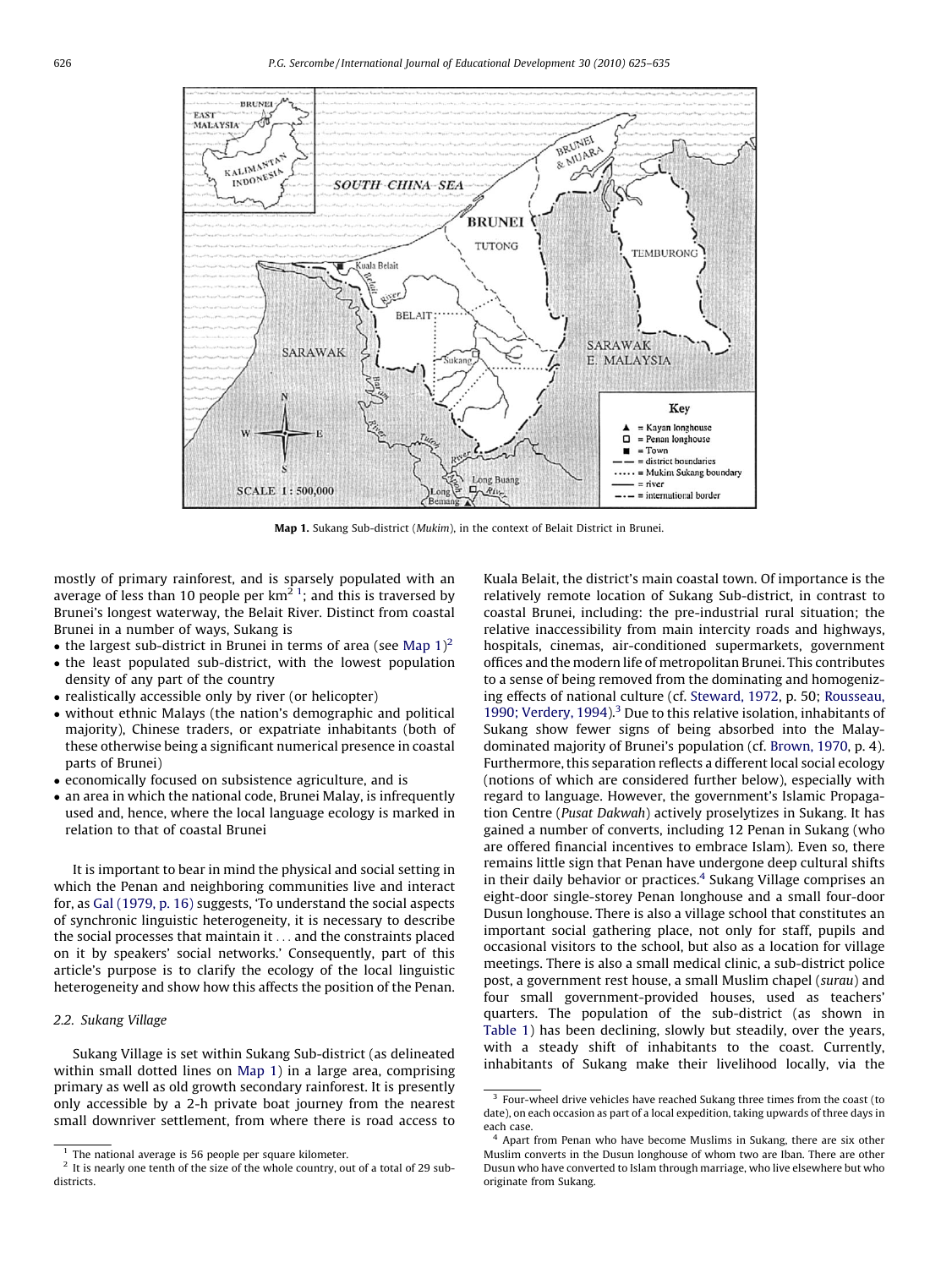<span id="page-1-0"></span>

Map 1. Sukang Sub-district (Mukim), in the context of Belait District in Brunei.

mostly of primary rainforest, and is sparsely populated with an average of less than 10 people per km<sup>2 1</sup>; and this is traversed by Brunei's longest waterway, the Belait River. Distinct from coastal Brunei in a number of ways, Sukang is

- the largest sub-district in Brunei in terms of area (see Map  $1)^2$
- the least populated sub-district, with the lowest population density of any part of the country
- realistically accessible only by river (or helicopter)
- without ethnic Malays (the nation's demographic and political majority), Chinese traders, or expatriate inhabitants (both of these otherwise being a significant numerical presence in coastal parts of Brunei)
- economically focused on subsistence agriculture, and is
- an area in which the national code, Brunei Malay, is infrequently used and, hence, where the local language ecology is marked in relation to that of coastal Brunei

It is important to bear in mind the physical and social setting in which the Penan and neighboring communities live and interact for, as [Gal \(1979, p. 16\)](#page-9-0) suggests, 'To understand the social aspects of synchronic linguistic heterogeneity, it is necessary to describe the social processes that maintain it ... and the constraints placed on it by speakers' social networks.' Consequently, part of this article's purpose is to clarify the ecology of the local linguistic heterogeneity and show how this affects the position of the Penan.

# 2.2. Sukang Village

Sukang Village is set within Sukang Sub-district (as delineated within small dotted lines on Map 1) in a large area, comprising primary as well as old growth secondary rainforest. It is presently only accessible by a 2-h private boat journey from the nearest small downriver settlement, from where there is road access to Kuala Belait, the district's main coastal town. Of importance is the relatively remote location of Sukang Sub-district, in contrast to coastal Brunei, including: the pre-industrial rural situation; the relative inaccessibility from main intercity roads and highways, hospitals, cinemas, air-conditioned supermarkets, government offices and the modern life of metropolitan Brunei. This contributes to a sense of being removed from the dominating and homogenizing effects of national culture (cf. [Steward, 1972](#page-10-0), p. 50; [Rousseau,](#page-9-0) [1990; Verdery, 1994](#page-9-0)).<sup>3</sup> Due to this relative isolation, inhabitants of Sukang show fewer signs of being absorbed into the Malaydominated majority of Brunei's population (cf. [Brown, 1970,](#page-9-0) p. 4). Furthermore, this separation reflects a different local social ecology (notions of which are considered further below), especially with regard to language. However, the government's Islamic Propagation Centre (Pusat Dakwah) actively proselytizes in Sukang. It has gained a number of converts, including 12 Penan in Sukang (who are offered financial incentives to embrace Islam). Even so, there remains little sign that Penan have undergone deep cultural shifts in their daily behavior or practices.<sup>4</sup> Sukang Village comprises an eight-door single-storey Penan longhouse and a small four-door Dusun longhouse. There is also a village school that constitutes an important social gathering place, not only for staff, pupils and occasional visitors to the school, but also as a location for village meetings. There is also a small medical clinic, a sub-district police post, a government rest house, a small Muslim chapel (surau) and four small government-provided houses, used as teachers' quarters. The population of the sub-district (as shown in [Table 1](#page-2-0)) has been declining, slowly but steadily, over the years, with a steady shift of inhabitants to the coast. Currently, inhabitants of Sukang make their livelihood locally, via the

 $1$  The national average is 56 people per square kilometer.

 $2$  It is nearly one tenth of the size of the whole country, out of a total of 29 subdistricts.

<sup>&</sup>lt;sup>3</sup> Four-wheel drive vehicles have reached Sukang three times from the coast (to date), on each occasion as part of a local expedition, taking upwards of three days in each case.

<sup>4</sup> Apart from Penan who have become Muslims in Sukang, there are six other Muslim converts in the Dusun longhouse of whom two are Iban. There are other Dusun who have converted to Islam through marriage, who live elsewhere but who originate from Sukang.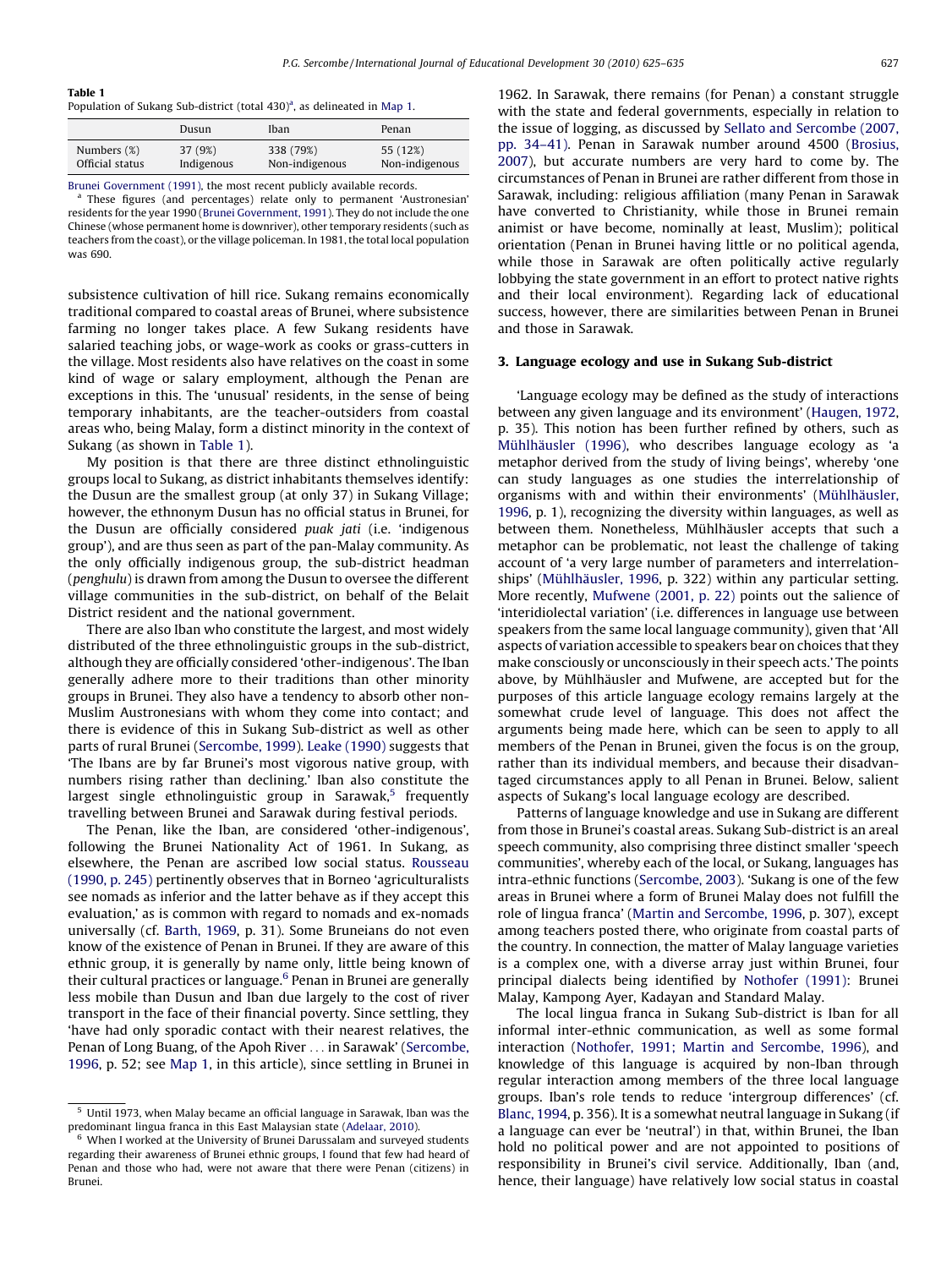#### <span id="page-2-0"></span>Table 1

Population of Sukang Sub-district (total 430)<sup>a</sup>, as delineated in [Map 1](#page-1-0).

| 338 (79%)<br>Numbers (%)<br>55 (12%)<br>37 (9%)<br>Official status<br>Non-indigenous<br>Indigenous | Dusun | Iban | Penan          |
|----------------------------------------------------------------------------------------------------|-------|------|----------------|
|                                                                                                    |       |      | Non-indigenous |

[Brunei Government \(1991\),](#page-9-0) the most recent publicly available records.

<sup>a</sup> These figures (and percentages) relate only to permanent 'Austronesian' residents for the year 1990 ([Brunei Government, 1991](#page-9-0)). They do not include the one Chinese (whose permanent home is downriver), other temporary residents (such as teachers from the coast), or the village policeman. In 1981, the total local population was 690.

subsistence cultivation of hill rice. Sukang remains economically traditional compared to coastal areas of Brunei, where subsistence farming no longer takes place. A few Sukang residents have salaried teaching jobs, or wage-work as cooks or grass-cutters in the village. Most residents also have relatives on the coast in some kind of wage or salary employment, although the Penan are exceptions in this. The 'unusual' residents, in the sense of being temporary inhabitants, are the teacher-outsiders from coastal areas who, being Malay, form a distinct minority in the context of Sukang (as shown in Table 1).

My position is that there are three distinct ethnolinguistic groups local to Sukang, as district inhabitants themselves identify: the Dusun are the smallest group (at only 37) in Sukang Village; however, the ethnonym Dusun has no official status in Brunei, for the Dusun are officially considered puak jati (i.e. 'indigenous group'), and are thus seen as part of the pan-Malay community. As the only officially indigenous group, the sub-district headman (penghulu) is drawn from among the Dusun to oversee the different village communities in the sub-district, on behalf of the Belait District resident and the national government.

There are also Iban who constitute the largest, and most widely distributed of the three ethnolinguistic groups in the sub-district, although they are officially considered 'other-indigenous'. The Iban generally adhere more to their traditions than other minority groups in Brunei. They also have a tendency to absorb other non-Muslim Austronesians with whom they come into contact; and there is evidence of this in Sukang Sub-district as well as other parts of rural Brunei [\(Sercombe, 1999](#page-10-0)). [Leake \(1990\)](#page-9-0) suggests that 'The Ibans are by far Brunei's most vigorous native group, with numbers rising rather than declining.' Iban also constitute the largest single ethnolinguistic group in Sarawak, $5$  frequently travelling between Brunei and Sarawak during festival periods.

The Penan, like the Iban, are considered 'other-indigenous', following the Brunei Nationality Act of 1961. In Sukang, as elsewhere, the Penan are ascribed low social status. [Rousseau](#page-9-0) [\(1990, p. 245\)](#page-9-0) pertinently observes that in Borneo 'agriculturalists see nomads as inferior and the latter behave as if they accept this evaluation,' as is common with regard to nomads and ex-nomads universally (cf. [Barth, 1969](#page-9-0), p. 31). Some Bruneians do not even know of the existence of Penan in Brunei. If they are aware of this ethnic group, it is generally by name only, little being known of their cultural practices or language.<sup>6</sup> Penan in Brunei are generally less mobile than Dusun and Iban due largely to the cost of river transport in the face of their financial poverty. Since settling, they 'have had only sporadic contact with their nearest relatives, the Penan of Long Buang, of the Apoh River ... in Sarawak' [\(Sercombe,](#page-10-0) [1996,](#page-10-0) p. 52; see [Map 1,](#page-1-0) in this article), since settling in Brunei in 1962. In Sarawak, there remains (for Penan) a constant struggle with the state and federal governments, especially in relation to the issue of logging, as discussed by [Sellato and Sercombe \(2007,](#page-10-0) [pp. 34–41\)](#page-10-0). Penan in Sarawak number around 4500 ([Brosius,](#page-9-0) [2007\)](#page-9-0), but accurate numbers are very hard to come by. The circumstances of Penan in Brunei are rather different from those in Sarawak, including: religious affiliation (many Penan in Sarawak have converted to Christianity, while those in Brunei remain animist or have become, nominally at least, Muslim); political orientation (Penan in Brunei having little or no political agenda, while those in Sarawak are often politically active regularly lobbying the state government in an effort to protect native rights and their local environment). Regarding lack of educational success, however, there are similarities between Penan in Brunei and those in Sarawak.

#### 3. Language ecology and use in Sukang Sub-district

'Language ecology may be defined as the study of interactions between any given language and its environment' ([Haugen, 1972,](#page-9-0) p. 35). This notion has been further refined by others, such as Mühlhäusler (1996), who describes language ecology as 'a metaphor derived from the study of living beings', whereby 'one can study languages as one studies the interrelationship of organisms with and within their environments' (Mühlhäusler, [1996,](#page-9-0) p. 1), recognizing the diversity within languages, as well as between them. Nonetheless, Mühlhäusler accepts that such a metaphor can be problematic, not least the challenge of taking account of 'a very large number of parameters and interrelationships' (Mühlhäusler, 1996, p. 322) within any particular setting. More recently, [Mufwene \(2001, p. 22\)](#page-9-0) points out the salience of 'interidiolectal variation' (i.e. differences in language use between speakers from the same local language community), given that 'All aspects of variation accessible to speakers bear on choices that they make consciously or unconsciously in their speech acts.' The points above, by Mühlhäusler and Mufwene, are accepted but for the purposes of this article language ecology remains largely at the somewhat crude level of language. This does not affect the arguments being made here, which can be seen to apply to all members of the Penan in Brunei, given the focus is on the group, rather than its individual members, and because their disadvantaged circumstances apply to all Penan in Brunei. Below, salient aspects of Sukang's local language ecology are described.

Patterns of language knowledge and use in Sukang are different from those in Brunei's coastal areas. Sukang Sub-district is an areal speech community, also comprising three distinct smaller 'speech communities', whereby each of the local, or Sukang, languages has intra-ethnic functions [\(Sercombe, 2003\)](#page-10-0). 'Sukang is one of the few areas in Brunei where a form of Brunei Malay does not fulfill the role of lingua franca' ([Martin and Sercombe, 1996](#page-9-0), p. 307), except among teachers posted there, who originate from coastal parts of the country. In connection, the matter of Malay language varieties is a complex one, with a diverse array just within Brunei, four principal dialects being identified by [Nothofer \(1991\):](#page-9-0) Brunei Malay, Kampong Ayer, Kadayan and Standard Malay.

The local lingua franca in Sukang Sub-district is Iban for all informal inter-ethnic communication, as well as some formal interaction ([Nothofer, 1991; Martin and Sercombe, 1996](#page-9-0)), and knowledge of this language is acquired by non-Iban through regular interaction among members of the three local language groups. Iban's role tends to reduce 'intergroup differences' (cf. [Blanc, 1994](#page-9-0), p. 356). It is a somewhat neutral language in Sukang (if a language can ever be 'neutral') in that, within Brunei, the Iban hold no political power and are not appointed to positions of responsibility in Brunei's civil service. Additionally, Iban (and, hence, their language) have relatively low social status in coastal

<sup>5</sup> Until 1973, when Malay became an official language in Sarawak, Iban was the predominant lingua franca in this East Malaysian state ([Adelaar, 2010](#page-9-0)).

When I worked at the University of Brunei Darussalam and surveyed students regarding their awareness of Brunei ethnic groups, I found that few had heard of Penan and those who had, were not aware that there were Penan (citizens) in Brunei.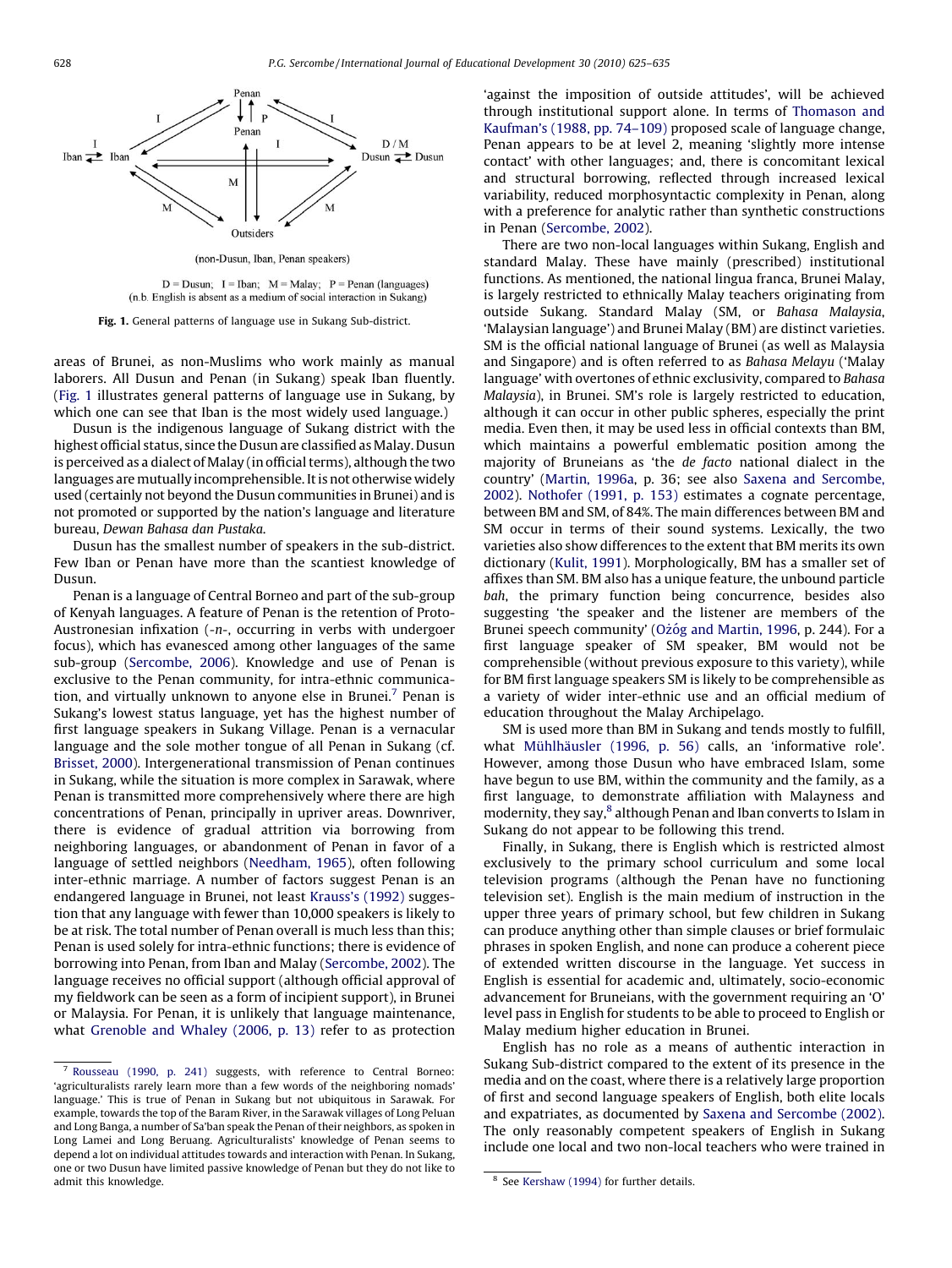

(non-Dusun, Iban, Penan speakers)

 $D = D$ usun: I = Iban: M = Malay: P = Penan (languages) (n.b. English is absent as a medium of social interaction in Sukang)

Fig. 1. General patterns of language use in Sukang Sub-district.

areas of Brunei, as non-Muslims who work mainly as manual laborers. All Dusun and Penan (in Sukang) speak Iban fluently. (Fig. 1 illustrates general patterns of language use in Sukang, by which one can see that Iban is the most widely used language.)

Dusun is the indigenous language of Sukang district with the highest official status, since the Dusun are classified as Malay. Dusun is perceived as a dialect of Malay (in official terms), although the two languages are mutually incomprehensible. It is not otherwise widely used (certainly not beyond the Dusun communities in Brunei) and is not promoted or supported by the nation's language and literature bureau, Dewan Bahasa dan Pustaka.

Dusun has the smallest number of speakers in the sub-district. Few Iban or Penan have more than the scantiest knowledge of Dusun.

Penan is a language of Central Borneo and part of the sub-group of Kenyah languages. A feature of Penan is the retention of Proto-Austronesian infixation (-n-, occurring in verbs with undergoer focus), which has evanesced among other languages of the same sub-group ([Sercombe, 2006](#page-10-0)). Knowledge and use of Penan is exclusive to the Penan community, for intra-ethnic communication, and virtually unknown to anyone else in Brunei.7 Penan is Sukang's lowest status language, yet has the highest number of first language speakers in Sukang Village. Penan is a vernacular language and the sole mother tongue of all Penan in Sukang (cf. [Brisset, 2000\)](#page-9-0). Intergenerational transmission of Penan continues in Sukang, while the situation is more complex in Sarawak, where Penan is transmitted more comprehensively where there are high concentrations of Penan, principally in upriver areas. Downriver, there is evidence of gradual attrition via borrowing from neighboring languages, or abandonment of Penan in favor of a language of settled neighbors ([Needham, 1965](#page-9-0)), often following inter-ethnic marriage. A number of factors suggest Penan is an endangered language in Brunei, not least [Krauss's \(1992\)](#page-9-0) suggestion that any language with fewer than 10,000 speakers is likely to be at risk. The total number of Penan overall is much less than this; Penan is used solely for intra-ethnic functions; there is evidence of borrowing into Penan, from Iban and Malay [\(Sercombe, 2002\)](#page-10-0). The language receives no official support (although official approval of my fieldwork can be seen as a form of incipient support), in Brunei or Malaysia. For Penan, it is unlikely that language maintenance, what [Grenoble and Whaley \(2006, p. 13\)](#page-9-0) refer to as protection 'against the imposition of outside attitudes', will be achieved through institutional support alone. In terms of [Thomason and](#page-10-0) [Kaufman's \(1988, pp. 74–109\)](#page-10-0) proposed scale of language change, Penan appears to be at level 2, meaning 'slightly more intense contact' with other languages; and, there is concomitant lexical and structural borrowing, reflected through increased lexical variability, reduced morphosyntactic complexity in Penan, along with a preference for analytic rather than synthetic constructions in Penan [\(Sercombe, 2002](#page-10-0)).

There are two non-local languages within Sukang, English and standard Malay. These have mainly (prescribed) institutional functions. As mentioned, the national lingua franca, Brunei Malay, is largely restricted to ethnically Malay teachers originating from outside Sukang. Standard Malay (SM, or Bahasa Malaysia, 'Malaysian language') and Brunei Malay (BM) are distinct varieties. SM is the official national language of Brunei (as well as Malaysia and Singapore) and is often referred to as Bahasa Melayu ('Malay language' with overtones of ethnic exclusivity, compared to Bahasa Malaysia), in Brunei. SM's role is largely restricted to education, although it can occur in other public spheres, especially the print media. Even then, it may be used less in official contexts than BM, which maintains a powerful emblematic position among the majority of Bruneians as 'the de facto national dialect in the country' [\(Martin, 1996a,](#page-9-0) p. 36; see also [Saxena and Sercombe,](#page-10-0) [2002\)](#page-10-0). [Nothofer \(1991, p. 153\)](#page-9-0) estimates a cognate percentage, between BM and SM, of 84%. The main differences between BM and SM occur in terms of their sound systems. Lexically, the two varieties also show differences to the extent that BM merits its own dictionary [\(Kulit, 1991](#page-9-0)). Morphologically, BM has a smaller set of affixes than SM. BM also has a unique feature, the unbound particle bah, the primary function being concurrence, besides also suggesting 'the speaker and the listener are members of the Brunei speech community' (Ożó[g and Martin, 1996,](#page-9-0) p. 244). For a first language speaker of SM speaker, BM would not be comprehensible (without previous exposure to this variety), while for BM first language speakers SM is likely to be comprehensible as a variety of wider inter-ethnic use and an official medium of education throughout the Malay Archipelago.

SM is used more than BM in Sukang and tends mostly to fulfill, what Mühlhäusler (1996, p. 56) calls, an 'informative role'. However, among those Dusun who have embraced Islam, some have begun to use BM, within the community and the family, as a first language, to demonstrate affiliation with Malayness and modernity, they say,<sup>8</sup> although Penan and Iban converts to Islam in Sukang do not appear to be following this trend.

Finally, in Sukang, there is English which is restricted almost exclusively to the primary school curriculum and some local television programs (although the Penan have no functioning television set). English is the main medium of instruction in the upper three years of primary school, but few children in Sukang can produce anything other than simple clauses or brief formulaic phrases in spoken English, and none can produce a coherent piece of extended written discourse in the language. Yet success in English is essential for academic and, ultimately, socio-economic advancement for Bruneians, with the government requiring an 'O' level pass in English for students to be able to proceed to English or Malay medium higher education in Brunei.

English has no role as a means of authentic interaction in Sukang Sub-district compared to the extent of its presence in the media and on the coast, where there is a relatively large proportion of first and second language speakers of English, both elite locals and expatriates, as documented by [Saxena and Sercombe \(2002\).](#page-10-0) The only reasonably competent speakers of English in Sukang include one local and two non-local teachers who were trained in

<sup>7</sup> [Rousseau \(1990, p. 241\)](#page-9-0) suggests, with reference to Central Borneo: 'agriculturalists rarely learn more than a few words of the neighboring nomads' language.' This is true of Penan in Sukang but not ubiquitous in Sarawak. For example, towards the top of the Baram River, in the Sarawak villages of Long Peluan and Long Banga, a number of Sa'ban speak the Penan of their neighbors, as spoken in Long Lamei and Long Beruang. Agriculturalists' knowledge of Penan seems to depend a lot on individual attitudes towards and interaction with Penan. In Sukang, one or two Dusun have limited passive knowledge of Penan but they do not like to admit this knowledge. The state of the state of the state of the state of the state of the state of the state of the state of the state of the state of the state of the state of the state of the state of the state of the s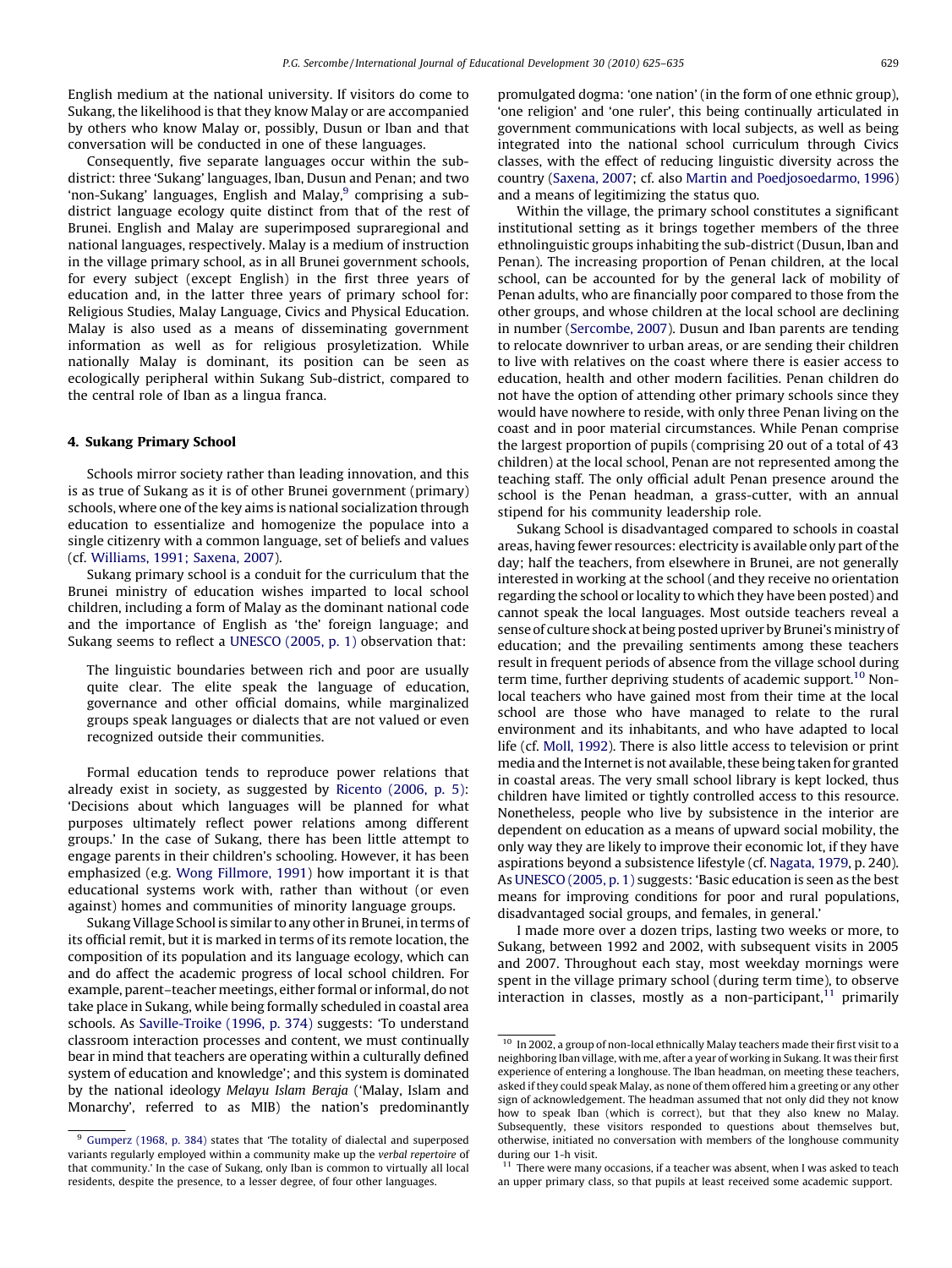English medium at the national university. If visitors do come to Sukang, the likelihood is that they know Malay or are accompanied by others who know Malay or, possibly, Dusun or Iban and that conversation will be conducted in one of these languages.

Consequently, five separate languages occur within the subdistrict: three 'Sukang' languages, Iban, Dusun and Penan; and two 'non-Sukang' languages, English and Malay,<sup>9</sup> comprising a subdistrict language ecology quite distinct from that of the rest of Brunei. English and Malay are superimposed supraregional and national languages, respectively. Malay is a medium of instruction in the village primary school, as in all Brunei government schools, for every subject (except English) in the first three years of education and, in the latter three years of primary school for: Religious Studies, Malay Language, Civics and Physical Education. Malay is also used as a means of disseminating government information as well as for religious prosyletization. While nationally Malay is dominant, its position can be seen as ecologically peripheral within Sukang Sub-district, compared to the central role of Iban as a lingua franca.

#### 4. Sukang Primary School

Schools mirror society rather than leading innovation, and this is as true of Sukang as it is of other Brunei government (primary) schools, where one of the key aims is national socialization through education to essentialize and homogenize the populace into a single citizenry with a common language, set of beliefs and values (cf. [Williams, 1991; Saxena, 2007\)](#page-10-0).

Sukang primary school is a conduit for the curriculum that the Brunei ministry of education wishes imparted to local school children, including a form of Malay as the dominant national code and the importance of English as 'the' foreign language; and Sukang seems to reflect a [UNESCO \(2005, p. 1\)](#page-10-0) observation that:

The linguistic boundaries between rich and poor are usually quite clear. The elite speak the language of education, governance and other official domains, while marginalized groups speak languages or dialects that are not valued or even recognized outside their communities.

Formal education tends to reproduce power relations that already exist in society, as suggested by [Ricento \(2006, p. 5\):](#page-9-0) 'Decisions about which languages will be planned for what purposes ultimately reflect power relations among different groups.' In the case of Sukang, there has been little attempt to engage parents in their children's schooling. However, it has been emphasized (e.g. [Wong Fillmore, 1991](#page-10-0)) how important it is that educational systems work with, rather than without (or even against) homes and communities of minority language groups.

Sukang Village School is similar to any other in Brunei, in terms of its official remit, but it is marked in terms of its remote location, the composition of its population and its language ecology, which can and do affect the academic progress of local school children. For example, parent–teacher meetings, either formal or informal, do not take place in Sukang, while being formally scheduled in coastal area schools. As [Saville-Troike \(1996, p. 374\)](#page-10-0) suggests: 'To understand classroom interaction processes and content, we must continually bear in mind that teachers are operating within a culturally defined system of education and knowledge'; and this system is dominated by the national ideology Melayu Islam Beraja ('Malay, Islam and Monarchy', referred to as MIB) the nation's predominantly

promulgated dogma: 'one nation' (in the form of one ethnic group), 'one religion' and 'one ruler', this being continually articulated in government communications with local subjects, as well as being integrated into the national school curriculum through Civics classes, with the effect of reducing linguistic diversity across the country [\(Saxena, 2007;](#page-10-0) cf. also [Martin and Poedjosoedarmo, 1996\)](#page-9-0) and a means of legitimizing the status quo.

Within the village, the primary school constitutes a significant institutional setting as it brings together members of the three ethnolinguistic groups inhabiting the sub-district (Dusun, Iban and Penan). The increasing proportion of Penan children, at the local school, can be accounted for by the general lack of mobility of Penan adults, who are financially poor compared to those from the other groups, and whose children at the local school are declining in number ([Sercombe, 2007\)](#page-10-0). Dusun and Iban parents are tending to relocate downriver to urban areas, or are sending their children to live with relatives on the coast where there is easier access to education, health and other modern facilities. Penan children do not have the option of attending other primary schools since they would have nowhere to reside, with only three Penan living on the coast and in poor material circumstances. While Penan comprise the largest proportion of pupils (comprising 20 out of a total of 43 children) at the local school, Penan are not represented among the teaching staff. The only official adult Penan presence around the school is the Penan headman, a grass-cutter, with an annual stipend for his community leadership role.

Sukang School is disadvantaged compared to schools in coastal areas, having fewer resources: electricity is available only part of the day; half the teachers, from elsewhere in Brunei, are not generally interested in working at the school (and they receive no orientation regarding the school or locality to which they have been posted) and cannot speak the local languages. Most outside teachers reveal a sense of culture shock at being posted upriver by Brunei's ministry of education; and the prevailing sentiments among these teachers result in frequent periods of absence from the village school during term time, further depriving students of academic support.<sup>10</sup> Nonlocal teachers who have gained most from their time at the local school are those who have managed to relate to the rural environment and its inhabitants, and who have adapted to local life (cf. [Moll, 1992\)](#page-9-0). There is also little access to television or print media and the Internet is not available, these being taken for granted in coastal areas. The very small school library is kept locked, thus children have limited or tightly controlled access to this resource. Nonetheless, people who live by subsistence in the interior are dependent on education as a means of upward social mobility, the only way they are likely to improve their economic lot, if they have aspirations beyond a subsistence lifestyle (cf. [Nagata, 1979,](#page-9-0) p. 240). As [UNESCO \(2005, p. 1\)](#page-10-0) suggests: 'Basic education is seen as the best means for improving conditions for poor and rural populations, disadvantaged social groups, and females, in general.'

I made more over a dozen trips, lasting two weeks or more, to Sukang, between 1992 and 2002, with subsequent visits in 2005 and 2007. Throughout each stay, most weekday mornings were spent in the village primary school (during term time), to observe interaction in classes, mostly as a non-participant, $11$  primarily

<sup>&</sup>lt;sup>9</sup> [Gumperz \(1968, p. 384\)](#page-9-0) states that 'The totality of dialectal and superposed variants regularly employed within a community make up the verbal repertoire of that community.' In the case of Sukang, only Iban is common to virtually all local residents, despite the presence, to a lesser degree, of four other languages.

 $10$  In 2002, a group of non-local ethnically Malay teachers made their first visit to a neighboring Iban village, with me, after a year of working in Sukang. It was their first experience of entering a longhouse. The Iban headman, on meeting these teachers, asked if they could speak Malay, as none of them offered him a greeting or any other sign of acknowledgement. The headman assumed that not only did they not know how to speak Iban (which is correct), but that they also knew no Malay. Subsequently, these visitors responded to questions about themselves but, otherwise, initiated no conversation with members of the longhouse community during our 1-h visit.

 $11$  There were many occasions, if a teacher was absent, when I was asked to teach an upper primary class, so that pupils at least received some academic support.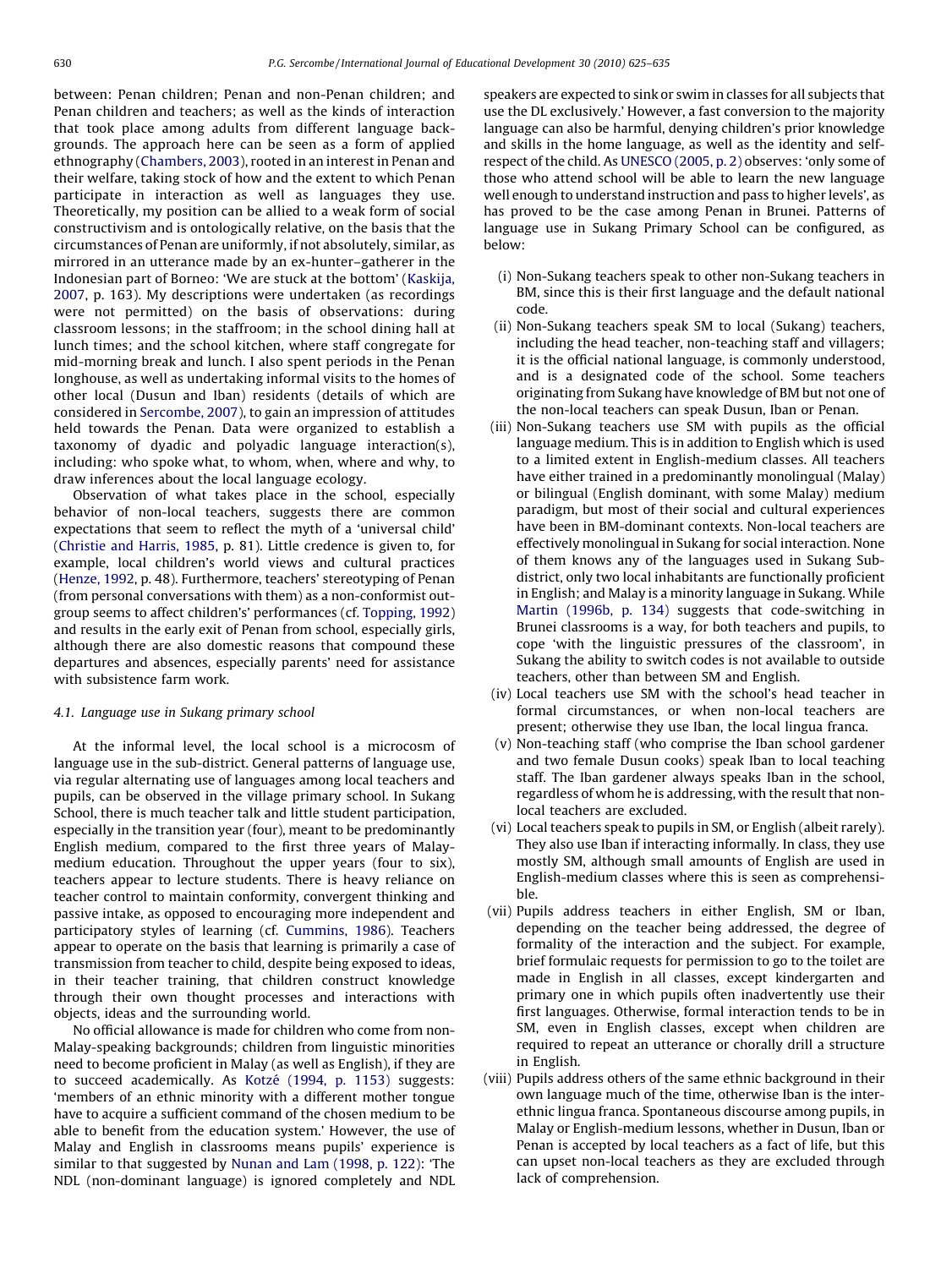between: Penan children; Penan and non-Penan children; and Penan children and teachers; as well as the kinds of interaction that took place among adults from different language backgrounds. The approach here can be seen as a form of applied ethnography [\(Chambers, 2003](#page-9-0)), rooted in an interest in Penan and their welfare, taking stock of how and the extent to which Penan participate in interaction as well as languages they use. Theoretically, my position can be allied to a weak form of social constructivism and is ontologically relative, on the basis that the circumstances of Penan are uniformly, if not absolutely, similar, as mirrored in an utterance made by an ex-hunter–gatherer in the Indonesian part of Borneo: 'We are stuck at the bottom' ([Kaskija,](#page-9-0) [2007](#page-9-0), p. 163). My descriptions were undertaken (as recordings were not permitted) on the basis of observations: during classroom lessons; in the staffroom; in the school dining hall at lunch times; and the school kitchen, where staff congregate for mid-morning break and lunch. I also spent periods in the Penan longhouse, as well as undertaking informal visits to the homes of other local (Dusun and Iban) residents (details of which are considered in [Sercombe, 2007](#page-10-0)), to gain an impression of attitudes held towards the Penan. Data were organized to establish a taxonomy of dyadic and polyadic language interaction(s), including: who spoke what, to whom, when, where and why, to draw inferences about the local language ecology.

Observation of what takes place in the school, especially behavior of non-local teachers, suggests there are common expectations that seem to reflect the myth of a 'universal child' ([Christie and Harris, 1985,](#page-9-0) p. 81). Little credence is given to, for example, local children's world views and cultural practices ([Henze, 1992](#page-9-0), p. 48). Furthermore, teachers' stereotyping of Penan (from personal conversations with them) as a non-conformist outgroup seems to affect children's' performances (cf. [Topping, 1992\)](#page-10-0) and results in the early exit of Penan from school, especially girls, although there are also domestic reasons that compound these departures and absences, especially parents' need for assistance with subsistence farm work.

#### 4.1. Language use in Sukang primary school

At the informal level, the local school is a microcosm of language use in the sub-district. General patterns of language use, via regular alternating use of languages among local teachers and pupils, can be observed in the village primary school. In Sukang School, there is much teacher talk and little student participation, especially in the transition year (four), meant to be predominantly English medium, compared to the first three years of Malaymedium education. Throughout the upper years (four to six), teachers appear to lecture students. There is heavy reliance on teacher control to maintain conformity, convergent thinking and passive intake, as opposed to encouraging more independent and participatory styles of learning (cf. [Cummins, 1986\)](#page-9-0). Teachers appear to operate on the basis that learning is primarily a case of transmission from teacher to child, despite being exposed to ideas, in their teacher training, that children construct knowledge through their own thought processes and interactions with objects, ideas and the surrounding world.

No official allowance is made for children who come from non-Malay-speaking backgrounds; children from linguistic minorities need to become proficient in Malay (as well as English), if they are to succeed academically. As Kotzé [\(1994, p. 1153\)](#page-9-0) suggests: 'members of an ethnic minority with a different mother tongue have to acquire a sufficient command of the chosen medium to be able to benefit from the education system.' However, the use of Malay and English in classrooms means pupils' experience is similar to that suggested by [Nunan and Lam \(1998, p. 122\)](#page-9-0): 'The NDL (non-dominant language) is ignored completely and NDL

speakers are expected to sink or swim in classes for all subjects that use the DL exclusively.' However, a fast conversion to the majority language can also be harmful, denying children's prior knowledge and skills in the home language, as well as the identity and selfrespect of the child. As [UNESCO \(2005, p. 2\)](#page-10-0) observes: 'only some of those who attend school will be able to learn the new language well enough to understand instruction and pass to higher levels', as has proved to be the case among Penan in Brunei. Patterns of language use in Sukang Primary School can be configured, as below:

- (i) Non-Sukang teachers speak to other non-Sukang teachers in BM, since this is their first language and the default national code.
- (ii) Non-Sukang teachers speak SM to local (Sukang) teachers, including the head teacher, non-teaching staff and villagers; it is the official national language, is commonly understood, and is a designated code of the school. Some teachers originating from Sukang have knowledge of BM but not one of the non-local teachers can speak Dusun, Iban or Penan.
- (iii) Non-Sukang teachers use SM with pupils as the official language medium. This is in addition to English which is used to a limited extent in English-medium classes. All teachers have either trained in a predominantly monolingual (Malay) or bilingual (English dominant, with some Malay) medium paradigm, but most of their social and cultural experiences have been in BM-dominant contexts. Non-local teachers are effectively monolingual in Sukang for social interaction. None of them knows any of the languages used in Sukang Subdistrict, only two local inhabitants are functionally proficient in English; and Malay is a minority language in Sukang. While [Martin \(1996b, p. 134\)](#page-9-0) suggests that code-switching in Brunei classrooms is a way, for both teachers and pupils, to cope 'with the linguistic pressures of the classroom', in Sukang the ability to switch codes is not available to outside teachers, other than between SM and English.
- (iv) Local teachers use SM with the school's head teacher in formal circumstances, or when non-local teachers are present; otherwise they use Iban, the local lingua franca.
- (v) Non-teaching staff (who comprise the Iban school gardener and two female Dusun cooks) speak Iban to local teaching staff. The Iban gardener always speaks Iban in the school, regardless of whom he is addressing, with the result that nonlocal teachers are excluded.
- (vi) Local teachers speak to pupils in SM, or English (albeit rarely). They also use Iban if interacting informally. In class, they use mostly SM, although small amounts of English are used in English-medium classes where this is seen as comprehensible.
- (vii) Pupils address teachers in either English, SM or Iban, depending on the teacher being addressed, the degree of formality of the interaction and the subject. For example, brief formulaic requests for permission to go to the toilet are made in English in all classes, except kindergarten and primary one in which pupils often inadvertently use their first languages. Otherwise, formal interaction tends to be in SM, even in English classes, except when children are required to repeat an utterance or chorally drill a structure in English.
- (viii) Pupils address others of the same ethnic background in their own language much of the time, otherwise Iban is the interethnic lingua franca. Spontaneous discourse among pupils, in Malay or English-medium lessons, whether in Dusun, Iban or Penan is accepted by local teachers as a fact of life, but this can upset non-local teachers as they are excluded through lack of comprehension.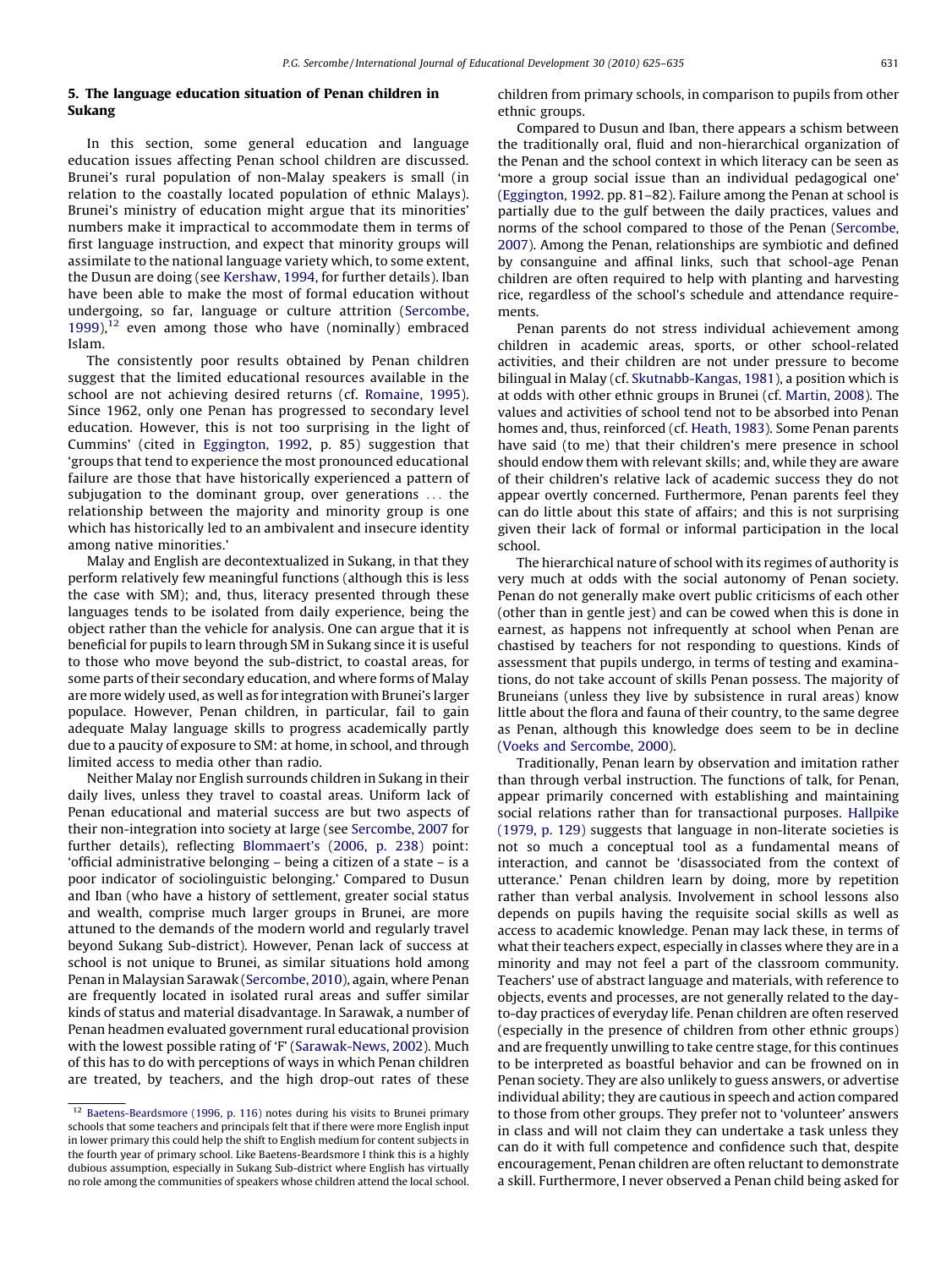# 5. The language education situation of Penan children in Sukang

In this section, some general education and language education issues affecting Penan school children are discussed. Brunei's rural population of non-Malay speakers is small (in relation to the coastally located population of ethnic Malays). Brunei's ministry of education might argue that its minorities' numbers make it impractical to accommodate them in terms of first language instruction, and expect that minority groups will assimilate to the national language variety which, to some extent, the Dusun are doing (see [Kershaw, 1994](#page-9-0), for further details). Iban have been able to make the most of formal education without undergoing, so far, language or culture attrition [\(Sercombe,](#page-10-0) [1999](#page-10-0)),<sup>12</sup> even among those who have (nominally) embraced Islam.

The consistently poor results obtained by Penan children suggest that the limited educational resources available in the school are not achieving desired returns (cf. [Romaine, 1995](#page-9-0)). Since 1962, only one Penan has progressed to secondary level education. However, this is not too surprising in the light of Cummins' (cited in [Eggington, 1992](#page-9-0), p. 85) suggestion that 'groups that tend to experience the most pronounced educational failure are those that have historically experienced a pattern of subjugation to the dominant group, over generations ... the relationship between the majority and minority group is one which has historically led to an ambivalent and insecure identity among native minorities.'

Malay and English are decontextualized in Sukang, in that they perform relatively few meaningful functions (although this is less the case with SM); and, thus, literacy presented through these languages tends to be isolated from daily experience, being the object rather than the vehicle for analysis. One can argue that it is beneficial for pupils to learn through SM in Sukang since it is useful to those who move beyond the sub-district, to coastal areas, for some parts of their secondary education, and where forms of Malay are more widely used, as well as for integration with Brunei's larger populace. However, Penan children, in particular, fail to gain adequate Malay language skills to progress academically partly due to a paucity of exposure to SM: at home, in school, and through limited access to media other than radio.

Neither Malay nor English surrounds children in Sukang in their daily lives, unless they travel to coastal areas. Uniform lack of Penan educational and material success are but two aspects of their non-integration into society at large (see [Sercombe, 2007](#page-10-0) for further details), reflecting [Blommaert's \(2006, p. 238\)](#page-9-0) point: 'official administrative belonging – being a citizen of a state – is a poor indicator of sociolinguistic belonging.' Compared to Dusun and Iban (who have a history of settlement, greater social status and wealth, comprise much larger groups in Brunei, are more attuned to the demands of the modern world and regularly travel beyond Sukang Sub-district). However, Penan lack of success at school is not unique to Brunei, as similar situations hold among Penan in Malaysian Sarawak [\(Sercombe, 2010](#page-10-0)), again, where Penan are frequently located in isolated rural areas and suffer similar kinds of status and material disadvantage. In Sarawak, a number of Penan headmen evaluated government rural educational provision with the lowest possible rating of 'F' ([Sarawak-News, 2002\)](#page-10-0). Much of this has to do with perceptions of ways in which Penan children are treated, by teachers, and the high drop-out rates of these

children from primary schools, in comparison to pupils from other ethnic groups.

Compared to Dusun and Iban, there appears a schism between the traditionally oral, fluid and non-hierarchical organization of the Penan and the school context in which literacy can be seen as 'more a group social issue than an individual pedagogical one' ([Eggington, 1992](#page-9-0). pp. 81–82). Failure among the Penan at school is partially due to the gulf between the daily practices, values and norms of the school compared to those of the Penan [\(Sercombe,](#page-10-0) [2007\)](#page-10-0). Among the Penan, relationships are symbiotic and defined by consanguine and affinal links, such that school-age Penan children are often required to help with planting and harvesting rice, regardless of the school's schedule and attendance requirements.

Penan parents do not stress individual achievement among children in academic areas, sports, or other school-related activities, and their children are not under pressure to become bilingual in Malay (cf. [Skutnabb-Kangas, 1981](#page-10-0)), a position which is at odds with other ethnic groups in Brunei (cf. [Martin, 2008](#page-9-0)). The values and activities of school tend not to be absorbed into Penan homes and, thus, reinforced (cf. [Heath, 1983\)](#page-9-0). Some Penan parents have said (to me) that their children's mere presence in school should endow them with relevant skills; and, while they are aware of their children's relative lack of academic success they do not appear overtly concerned. Furthermore, Penan parents feel they can do little about this state of affairs; and this is not surprising given their lack of formal or informal participation in the local school.

The hierarchical nature of school with its regimes of authority is very much at odds with the social autonomy of Penan society. Penan do not generally make overt public criticisms of each other (other than in gentle jest) and can be cowed when this is done in earnest, as happens not infrequently at school when Penan are chastised by teachers for not responding to questions. Kinds of assessment that pupils undergo, in terms of testing and examinations, do not take account of skills Penan possess. The majority of Bruneians (unless they live by subsistence in rural areas) know little about the flora and fauna of their country, to the same degree as Penan, although this knowledge does seem to be in decline ([Voeks and Sercombe, 2000](#page-10-0)).

Traditionally, Penan learn by observation and imitation rather than through verbal instruction. The functions of talk, for Penan, appear primarily concerned with establishing and maintaining social relations rather than for transactional purposes. [Hallpike](#page-9-0) [\(1979, p. 129\)](#page-9-0) suggests that language in non-literate societies is not so much a conceptual tool as a fundamental means of interaction, and cannot be 'disassociated from the context of utterance.' Penan children learn by doing, more by repetition rather than verbal analysis. Involvement in school lessons also depends on pupils having the requisite social skills as well as access to academic knowledge. Penan may lack these, in terms of what their teachers expect, especially in classes where they are in a minority and may not feel a part of the classroom community. Teachers' use of abstract language and materials, with reference to objects, events and processes, are not generally related to the dayto-day practices of everyday life. Penan children are often reserved (especially in the presence of children from other ethnic groups) and are frequently unwilling to take centre stage, for this continues to be interpreted as boastful behavior and can be frowned on in Penan society. They are also unlikely to guess answers, or advertise individual ability; they are cautious in speech and action compared to those from other groups. They prefer not to 'volunteer' answers in class and will not claim they can undertake a task unless they can do it with full competence and confidence such that, despite encouragement, Penan children are often reluctant to demonstrate a skill. Furthermore, I never observed a Penan child being asked for

<sup>12</sup> [Baetens-Beardsmore \(1996, p. 116\)](#page-9-0) notes during his visits to Brunei primary schools that some teachers and principals felt that if there were more English input in lower primary this could help the shift to English medium for content subjects in the fourth year of primary school. Like Baetens-Beardsmore I think this is a highly dubious assumption, especially in Sukang Sub-district where English has virtually no role among the communities of speakers whose children attend the local school.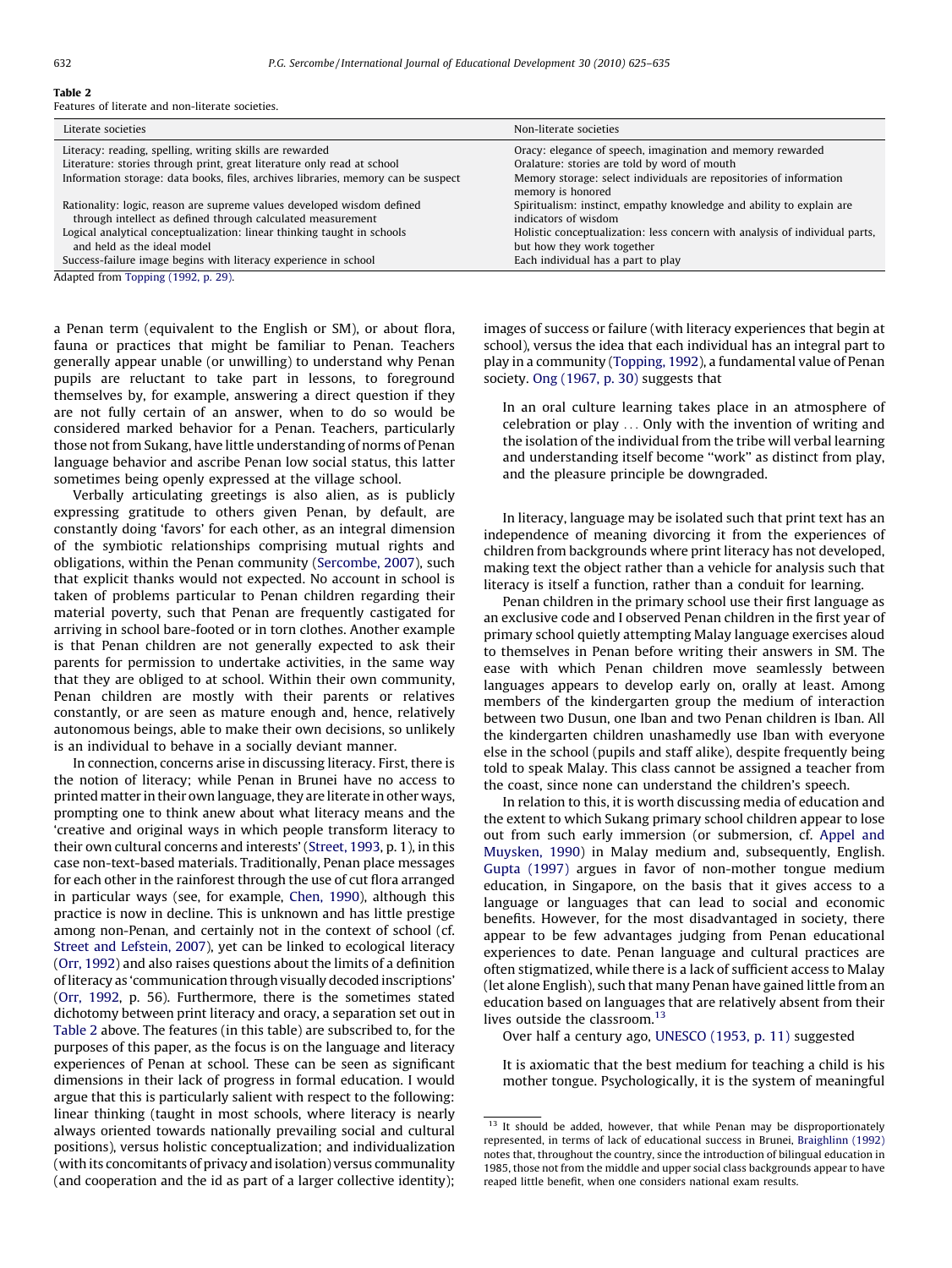# Table 2

Features of literate and non-literate societies.

| Literate societies                                                                | Non-literate societies                                                                  |  |
|-----------------------------------------------------------------------------------|-----------------------------------------------------------------------------------------|--|
| Literacy: reading, spelling, writing skills are rewarded                          | Oracy: elegance of speech, imagination and memory rewarded                              |  |
| Literature: stories through print, great literature only read at school           | Oralature: stories are told by word of mouth                                            |  |
| Information storage: data books, files, archives libraries, memory can be suspect | Memory storage: select individuals are repositories of information<br>memory is honored |  |
| Rationality: logic, reason are supreme values developed wisdom defined            | Spiritualism: instinct, empathy knowledge and ability to explain are                    |  |
| through intellect as defined through calculated measurement                       | indicators of wisdom                                                                    |  |
| Logical analytical conceptualization: linear thinking taught in schools           | Holistic conceptualization: less concern with analysis of individual parts,             |  |
| and held as the ideal model                                                       | but how they work together                                                              |  |
| Success-failure image begins with literacy experience in school                   | Each individual has a part to play                                                      |  |

Adapted from Topping (1992, p. 29).

a Penan term (equivalent to the English or SM), or about flora, fauna or practices that might be familiar to Penan. Teachers generally appear unable (or unwilling) to understand why Penan pupils are reluctant to take part in lessons, to foreground themselves by, for example, answering a direct question if they are not fully certain of an answer, when to do so would be considered marked behavior for a Penan. Teachers, particularly those not from Sukang, have little understanding of norms of Penan language behavior and ascribe Penan low social status, this latter sometimes being openly expressed at the village school.

Verbally articulating greetings is also alien, as is publicly expressing gratitude to others given Penan, by default, are constantly doing 'favors' for each other, as an integral dimension of the symbiotic relationships comprising mutual rights and obligations, within the Penan community ([Sercombe, 2007\)](#page-10-0), such that explicit thanks would not expected. No account in school is taken of problems particular to Penan children regarding their material poverty, such that Penan are frequently castigated for arriving in school bare-footed or in torn clothes. Another example is that Penan children are not generally expected to ask their parents for permission to undertake activities, in the same way that they are obliged to at school. Within their own community, Penan children are mostly with their parents or relatives constantly, or are seen as mature enough and, hence, relatively autonomous beings, able to make their own decisions, so unlikely is an individual to behave in a socially deviant manner.

In connection, concerns arise in discussing literacy. First, there is the notion of literacy; while Penan in Brunei have no access to printed matter in their own language, they are literate in other ways, prompting one to think anew about what literacy means and the 'creative and original ways in which people transform literacy to their own cultural concerns and interests' [\(Street, 1993,](#page-10-0) p. 1), in this case non-text-based materials. Traditionally, Penan place messages for each other in the rainforest through the use of cut flora arranged in particular ways (see, for example, [Chen, 1990\)](#page-9-0), although this practice is now in decline. This is unknown and has little prestige among non-Penan, and certainly not in the context of school (cf. [Street and Lefstein, 2007\)](#page-10-0), yet can be linked to ecological literacy ([Orr, 1992](#page-9-0)) and also raises questions about the limits of a definition of literacy as 'communication through visually decoded inscriptions' ([Orr, 1992,](#page-9-0) p. 56). Furthermore, there is the sometimes stated dichotomy between print literacy and oracy, a separation set out in Table 2 above. The features (in this table) are subscribed to, for the purposes of this paper, as the focus is on the language and literacy experiences of Penan at school. These can be seen as significant dimensions in their lack of progress in formal education. I would argue that this is particularly salient with respect to the following: linear thinking (taught in most schools, where literacy is nearly always oriented towards nationally prevailing social and cultural positions), versus holistic conceptualization; and individualization (with its concomitants of privacy and isolation) versus communality (and cooperation and the id as part of a larger collective identity); images of success or failure (with literacy experiences that begin at school), versus the idea that each individual has an integral part to play in a community ([Topping, 1992](#page-10-0)), a fundamental value of Penan society. [Ong \(1967, p. 30\)](#page-9-0) suggests that

In an oral culture learning takes place in an atmosphere of celebration or play ... Only with the invention of writing and the isolation of the individual from the tribe will verbal learning and understanding itself become ''work'' as distinct from play, and the pleasure principle be downgraded.

In literacy, language may be isolated such that print text has an independence of meaning divorcing it from the experiences of children from backgrounds where print literacy has not developed, making text the object rather than a vehicle for analysis such that literacy is itself a function, rather than a conduit for learning.

Penan children in the primary school use their first language as an exclusive code and I observed Penan children in the first year of primary school quietly attempting Malay language exercises aloud to themselves in Penan before writing their answers in SM. The ease with which Penan children move seamlessly between languages appears to develop early on, orally at least. Among members of the kindergarten group the medium of interaction between two Dusun, one Iban and two Penan children is Iban. All the kindergarten children unashamedly use Iban with everyone else in the school (pupils and staff alike), despite frequently being told to speak Malay. This class cannot be assigned a teacher from the coast, since none can understand the children's speech.

In relation to this, it is worth discussing media of education and the extent to which Sukang primary school children appear to lose out from such early immersion (or submersion, cf. [Appel and](#page-9-0) [Muysken, 1990](#page-9-0)) in Malay medium and, subsequently, English. [Gupta \(1997\)](#page-9-0) argues in favor of non-mother tongue medium education, in Singapore, on the basis that it gives access to a language or languages that can lead to social and economic benefits. However, for the most disadvantaged in society, there appear to be few advantages judging from Penan educational experiences to date. Penan language and cultural practices are often stigmatized, while there is a lack of sufficient access to Malay (let alone English), such that many Penan have gained little from an education based on languages that are relatively absent from their lives outside the classroom.<sup>13</sup>

Over half a century ago, [UNESCO \(1953, p. 11\)](#page-10-0) suggested

It is axiomatic that the best medium for teaching a child is his mother tongue. Psychologically, it is the system of meaningful

<sup>&</sup>lt;sup>13</sup> It should be added, however, that while Penan may be disproportionately represented, in terms of lack of educational success in Brunei, [Braighlinn \(1992\)](#page-9-0) notes that, throughout the country, since the introduction of bilingual education in 1985, those not from the middle and upper social class backgrounds appear to have reaped little benefit, when one considers national exam results.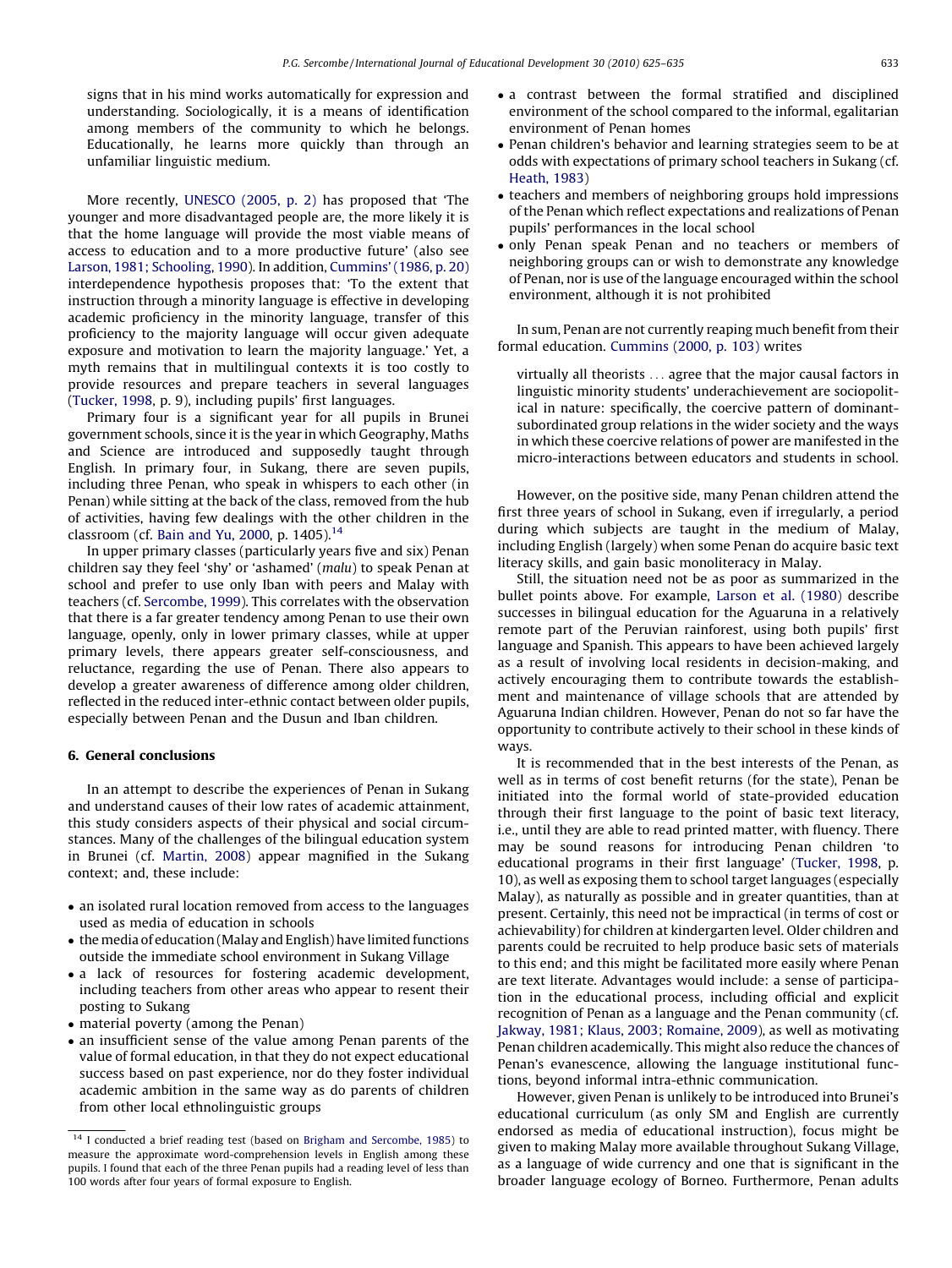signs that in his mind works automatically for expression and understanding. Sociologically, it is a means of identification among members of the community to which he belongs. Educationally, he learns more quickly than through an unfamiliar linguistic medium.

More recently, [UNESCO \(2005, p. 2\)](#page-10-0) has proposed that 'The younger and more disadvantaged people are, the more likely it is that the home language will provide the most viable means of access to education and to a more productive future' (also see [Larson, 1981; Schooling, 1990\)](#page-9-0). In addition, [Cummins' \(1986, p. 20\)](#page-9-0) interdependence hypothesis proposes that: 'To the extent that instruction through a minority language is effective in developing academic proficiency in the minority language, transfer of this proficiency to the majority language will occur given adequate exposure and motivation to learn the majority language.' Yet, a myth remains that in multilingual contexts it is too costly to provide resources and prepare teachers in several languages ([Tucker, 1998](#page-10-0), p. 9), including pupils' first languages.

Primary four is a significant year for all pupils in Brunei government schools, since it is the year in which Geography, Maths and Science are introduced and supposedly taught through English. In primary four, in Sukang, there are seven pupils, including three Penan, who speak in whispers to each other (in Penan) while sitting at the back of the class, removed from the hub of activities, having few dealings with the other children in the classroom (cf. [Bain and Yu, 2000,](#page-9-0) p. 1405).<sup>14</sup>

In upper primary classes (particularly years five and six) Penan children say they feel 'shy' or 'ashamed' (malu) to speak Penan at school and prefer to use only Iban with peers and Malay with teachers (cf. [Sercombe, 1999\)](#page-10-0). This correlates with the observation that there is a far greater tendency among Penan to use their own language, openly, only in lower primary classes, while at upper primary levels, there appears greater self-consciousness, and reluctance, regarding the use of Penan. There also appears to develop a greater awareness of difference among older children, reflected in the reduced inter-ethnic contact between older pupils, especially between Penan and the Dusun and Iban children.

## 6. General conclusions

In an attempt to describe the experiences of Penan in Sukang and understand causes of their low rates of academic attainment, this study considers aspects of their physical and social circumstances. Many of the challenges of the bilingual education system in Brunei (cf. [Martin, 2008\)](#page-9-0) appear magnified in the Sukang context; and, these include:

- an isolated rural location removed from access to the languages used as media of education in schools
- the media of education (Malay and English) have limited functions outside the immediate school environment in Sukang Village
- a lack of resources for fostering academic development, including teachers from other areas who appear to resent their posting to Sukang
- material poverty (among the Penan)
- an insufficient sense of the value among Penan parents of the value of formal education, in that they do not expect educational success based on past experience, nor do they foster individual academic ambition in the same way as do parents of children from other local ethnolinguistic groups
- a contrast between the formal stratified and disciplined environment of the school compared to the informal, egalitarian environment of Penan homes
- Penan children's behavior and learning strategies seem to be at odds with expectations of primary school teachers in Sukang (cf. [Heath, 1983\)](#page-9-0)
- teachers and members of neighboring groups hold impressions of the Penan which reflect expectations and realizations of Penan pupils' performances in the local school
- only Penan speak Penan and no teachers or members of neighboring groups can or wish to demonstrate any knowledge of Penan, nor is use of the language encouraged within the school environment, although it is not prohibited

In sum, Penan are not currently reaping much benefit from their formal education. [Cummins \(2000, p. 103\)](#page-9-0) writes

virtually all theorists ... agree that the major causal factors in linguistic minority students' underachievement are sociopolitical in nature: specifically, the coercive pattern of dominantsubordinated group relations in the wider society and the ways in which these coercive relations of power are manifested in the micro-interactions between educators and students in school.

However, on the positive side, many Penan children attend the first three years of school in Sukang, even if irregularly, a period during which subjects are taught in the medium of Malay, including English (largely) when some Penan do acquire basic text literacy skills, and gain basic monoliteracy in Malay.

Still, the situation need not be as poor as summarized in the bullet points above. For example, [Larson et al. \(1980\)](#page-9-0) describe successes in bilingual education for the Aguaruna in a relatively remote part of the Peruvian rainforest, using both pupils' first language and Spanish. This appears to have been achieved largely as a result of involving local residents in decision-making, and actively encouraging them to contribute towards the establishment and maintenance of village schools that are attended by Aguaruna Indian children. However, Penan do not so far have the opportunity to contribute actively to their school in these kinds of ways.

It is recommended that in the best interests of the Penan, as well as in terms of cost benefit returns (for the state), Penan be initiated into the formal world of state-provided education through their first language to the point of basic text literacy, i.e., until they are able to read printed matter, with fluency. There may be sound reasons for introducing Penan children 'to educational programs in their first language' [\(Tucker, 1998,](#page-10-0) p. 10), as well as exposing them to school target languages (especially Malay), as naturally as possible and in greater quantities, than at present. Certainly, this need not be impractical (in terms of cost or achievability) for children at kindergarten level. Older children and parents could be recruited to help produce basic sets of materials to this end; and this might be facilitated more easily where Penan are text literate. Advantages would include: a sense of participation in the educational process, including official and explicit recognition of Penan as a language and the Penan community (cf. [Jakway, 1981; Klaus, 2003; Romaine, 2009](#page-9-0)), as well as motivating Penan children academically. This might also reduce the chances of Penan's evanescence, allowing the language institutional functions, beyond informal intra-ethnic communication.

However, given Penan is unlikely to be introduced into Brunei's educational curriculum (as only SM and English are currently endorsed as media of educational instruction), focus might be given to making Malay more available throughout Sukang Village, as a language of wide currency and one that is significant in the broader language ecology of Borneo. Furthermore, Penan adults

 $14$  I conducted a brief reading test (based on [Brigham and Sercombe, 1985](#page-9-0)) to measure the approximate word-comprehension levels in English among these pupils. I found that each of the three Penan pupils had a reading level of less than 100 words after four years of formal exposure to English.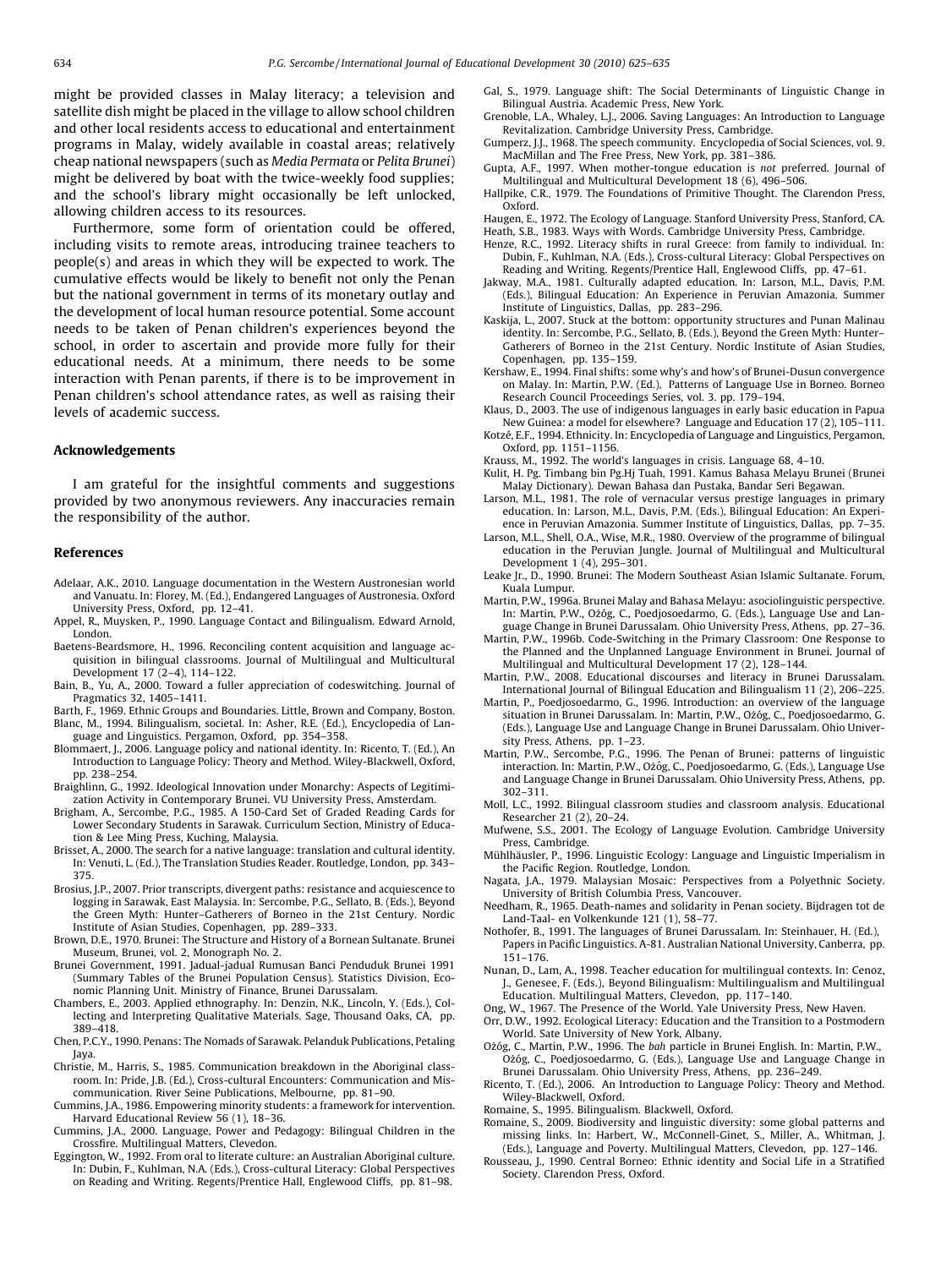<span id="page-9-0"></span>might be provided classes in Malay literacy; a television and satellite dish might be placed in the village to allow school children and other local residents access to educational and entertainment programs in Malay, widely available in coastal areas; relatively cheap national newspapers (such as Media Permata or Pelita Brunei) might be delivered by boat with the twice-weekly food supplies; and the school's library might occasionally be left unlocked, allowing children access to its resources.

Furthermore, some form of orientation could be offered, including visits to remote areas, introducing trainee teachers to people(s) and areas in which they will be expected to work. The cumulative effects would be likely to benefit not only the Penan but the national government in terms of its monetary outlay and the development of local human resource potential. Some account needs to be taken of Penan children's experiences beyond the school, in order to ascertain and provide more fully for their educational needs. At a minimum, there needs to be some interaction with Penan parents, if there is to be improvement in Penan children's school attendance rates, as well as raising their levels of academic success.

#### Acknowledgements

I am grateful for the insightful comments and suggestions provided by two anonymous reviewers. Any inaccuracies remain the responsibility of the author.

### References

- Adelaar, A.K., 2010. Language documentation in the Western Austronesian world and Vanuatu. In: Florey, M. (Ed.), Endangered Languages of Austronesia. Oxford
- University Press, Oxford, pp. 12–41. Appel, R., Muysken, P., 1990. Language Contact and Bilingualism. Edward Arnold, London.
- Baetens-Beardsmore, H., 1996. Reconciling content acquisition and language acquisition in bilingual classrooms. Journal of Multilingual and Multicultural Development 17 (2–4), 114–122.
- Bain, B., Yu, A., 2000. Toward a fuller appreciation of codeswitching. Journal of Pragmatics 32, 1405–1411.
- Barth, F., 1969. Ethnic Groups and Boundaries. Little, Brown and Company, Boston. Blanc, M., 1994. Bilingualism, societal. In: Asher, R.E. (Ed.), Encyclopedia of Language and Linguistics. Pergamon, Oxford, pp. 354–358.
- Blommaert, J., 2006. Language policy and national identity. In: Ricento, T. (Ed.), An Introduction to Language Policy: Theory and Method. Wiley-Blackwell, Oxford, pp. 238–254.
- Braighlinn, G., 1992. Ideological Innovation under Monarchy: Aspects of Legitimization Activity in Contemporary Brunei. VU University Press, Amsterdam.
- Brigham, A., Sercombe, P.G., 1985. A 150-Card Set of Graded Reading Cards for Lower Secondary Students in Sarawak. Curriculum Section, Ministry of Education & Lee Ming Press, Kuching, Malaysia.
- Brisset, A., 2000. The search for a native language: translation and cultural identity. In: Venuti, L. (Ed.), The Translation Studies Reader. Routledge, London, pp. 343– 375.
- Brosius, J.P., 2007. Prior transcripts, divergent paths: resistance and acquiescence to logging in Sarawak, East Malaysia. In: Sercombe, P.G., Sellato, B. (Eds.), Beyond the Green Myth: Hunter–Gatherers of Borneo in the 21st Century. Nordic Institute of Asian Studies, Copenhagen, pp. 289–333.
- Brown, D.E., 1970. Brunei: The Structure and History of a Bornean Sultanate. Brunei Museum, Brunei, vol. 2, Monograph No. 2.
- Brunei Government, 1991. Jadual-jadual Rumusan Banci Penduduk Brunei 1991 (Summary Tables of the Brunei Population Census). Statistics Division, Economic Planning Unit. Ministry of Finance, Brunei Darussalam.
- Chambers, E., 2003. Applied ethnography. In: Denzin, N.K., Lincoln, Y. (Eds.), Collecting and Interpreting Qualitative Materials. Sage, Thousand Oaks, CA, pp. 389–418.
- Chen, P.C.Y., 1990. Penans: The Nomads of Sarawak. Pelanduk Publications, Petaling Jaya.
- Christie, M., Harris, S., 1985. Communication breakdown in the Aboriginal classroom. In: Pride, J.B. (Ed.), Cross-cultural Encounters: Communication and Miscommunication. River Seine Publications, Melbourne, pp. 81–90.
- Cummins, J.A., 1986. Empowering minority students: a framework for intervention. Harvard Educational Review 56 (1), 18–36.
- Cummins, J.A., 2000. Language, Power and Pedagogy: Bilingual Children in the Crossfire. Multilingual Matters, Clevedon.
- Eggington, W., 1992. From oral to literate culture: an Australian Aboriginal culture. In: Dubin, F., Kuhlman, N.A. (Eds.), Cross-cultural Literacy: Global Perspectives on Reading and Writing. Regents/Prentice Hall, Englewood Cliffs, pp. 81–98.
- Gal, S., 1979. Language shift: The Social Determinants of Linguistic Change in Bilingual Austria. Academic Press, New York.
- Grenoble, L.A., Whaley, L.J., 2006. Saving Languages: An Introduction to Language Revitalization. Cambridge University Press, Cambridge.
- Gumperz, J.J., 1968. The speech community. Encyclopedia of Social Sciences, vol. 9. MacMillan and The Free Press, New York, pp. 381–386.
- Gupta, A.F., 1997. When mother-tongue education is not preferred. Journal of Multilingual and Multicultural Development 18 (6), 496–506.
- Hallpike, C.R., 1979. The Foundations of Primitive Thought. The Clarendon Press, Oxford.
- Haugen, E., 1972. The Ecology of Language. Stanford University Press, Stanford, CA. Heath, S.B., 1983. Ways with Words. Cambridge University Press, Cambridge.
- Henze, R.C., 1992. Literacy shifts in rural Greece: from family to individual. In: Dubin, F., Kuhlman, N.A. (Eds.), Cross-cultural Literacy: Global Perspectives on Reading and Writing. Regents/Prentice Hall, Englewood Cliffs, pp. 47–61.
- Jakway, M.A., 1981. Culturally adapted education. In: Larson, M.L., Davis, P.M. (Eds.), Bilingual Education: An Experience in Peruvian Amazonia. Summer Institute of Linguistics, Dallas, pp. 283–296.
- Kaskija, L., 2007. Stuck at the bottom: opportunity structures and Punan Malinau identity. In: Sercombe, P.G., Sellato, B. (Eds.), Beyond the Green Myth: Hunter– Gatherers of Borneo in the 21st Century. Nordic Institute of Asian Studies, Copenhagen, pp. 135–159.
- Kershaw, E., 1994. Final shifts: some why's and how's of Brunei-Dusun convergence on Malay. In: Martin, P.W. (Ed.), Patterns of Language Use in Borneo. Borneo Research Council Proceedings Series, vol. 3. pp. 179–194.
- Klaus, D., 2003. The use of indigenous languages in early basic education in Papua New Guinea: a model for elsewhere? Language and Education 17 (2), 105–111.
- Kotzé, E.F., 1994. Ethnicity. In: Encyclopedia of Language and Linguistics, Pergamon, Oxford, pp. 1151–1156.
- Krauss, M., 1992. The world's languages in crisis. Language 68, 4–10.
- Kulit, H. Pg. Timbang bin Pg.Hj Tuah, 1991. Kamus Bahasa Melayu Brunei (Brunei Malay Dictionary). Dewan Bahasa dan Pustaka, Bandar Seri Begawan.
- Larson, M.L., 1981. The role of vernacular versus prestige languages in primary education. In: Larson, M.L., Davis, P.M. (Eds.), Bilingual Education: An Experience in Peruvian Amazonia. Summer Institute of Linguistics, Dallas, pp. 7–35.
- Larson, M.L., Shell, O.A., Wise, M.R., 1980. Overview of the programme of bilingual education in the Peruvian Jungle. Journal of Multilingual and Multicultural Development 1 (4), 295–301.
- Leake Jr., D., 1990. Brunei: The Modern Southeast Asian Islamic Sultanate. Forum, Kuala Lumpur.
- Martin, P.W., 1996a. Brunei Malay and Bahasa Melayu: asociolinguistic perspective. In: Martin, P.W., Ożóg, C., Poedjosoedarmo, G. (Eds.), Language Use and Language Change in Brunei Darussalam. Ohio University Press, Athens, pp. 27–36.
- Martin, P.W., 1996b. Code-Switching in the Primary Classroom: One Response to the Planned and the Unplanned Language Environment in Brunei. Journal of Multilingual and Multicultural Development 17 (2), 128–144.
- Martin, P.W., 2008. Educational discourses and literacy in Brunei Darussalam. International Journal of Bilingual Education and Bilingualism 11 (2), 206–225.
- Martin, P., Poedjosoedarmo, G., 1996. Introduction: an overview of the language situation in Brunei Darussalam. In: Martin, P.W., Ożóg, C., Poedjosoedarmo, G. (Eds.), Language Use and Language Change in Brunei Darussalam. Ohio University Press, Athens, pp. 1–23.
- Martin, P.W., Sercombe, P.G., 1996. The Penan of Brunei: patterns of linguistic<br>interaction. In: Martin, P.W., Ożóg, C., Poedjosoedarmo, G. (Eds.), Language Use and Language Change in Brunei Darussalam. Ohio University Press, Athens, pp. 302–311.
- Moll, L.C., 1992. Bilingual classroom studies and classroom analysis. Educational Researcher 21 (2), 20–24.
- Mufwene, S.S., 2001. The Ecology of Language Evolution. Cambridge University Press, Cambridge.
- Mühlhäusler, P., 1996. Linguistic Ecology: Language and Linguistic Imperialism in the Pacific Region. Routledge, London.
- Nagata, J.A., 1979. Malaysian Mosaic: Perspectives from a Polyethnic Society. University of British Columbia Press, Vancouver.
- Needham, R., 1965. Death-names and solidarity in Penan society. Bijdragen tot de Land-Taal- en Volkenkunde 121 (1), 58–77.
- Nothofer, B., 1991. The languages of Brunei Darussalam. In: Steinhauer, H. (Ed.), Papers in Pacific Linguistics. A-81. Australian National University, Canberra, pp. 151–176.
- Nunan, D., Lam, A., 1998. Teacher education for multilingual contexts. In: Cenoz, J., Genesee, F. (Eds.), Beyond Bilingualism: Multilingualism and Multilingual Education. Multilingual Matters, Clevedon, pp. 117–140.
- Ong, W., 1967. The Presence of the World. Yale University Press, New Haven.
- Orr, D.W., 1992. Ecological Literacy: Education and the Transition to a Postmodern World. Sate University of New York, Albany.
- Ożóg, C., Martin, P.W., 1996. The bah particle in Brunei English. In: Martin, P.W., Ożóg, C., Poedjosoedarmo, G. (Eds.), Language Use and Language Change in Brunei Darussalam. Ohio University Press, Athens, pp. 236–249.
- Ricento, T. (Ed.), 2006. An Introduction to Language Policy: Theory and Method. Wiley-Blackwell, Oxford.

Romaine, S., 1995. Bilingualism. Blackwell, Oxford.

- Romaine, S., 2009. Biodiversity and linguistic diversity: some global patterns and missing links. In: Harbert, W., McConnell-Ginet, S., Miller, A., Whitman, J. (Eds.), Language and Poverty. Multilingual Matters, Clevedon, pp. 127–146.
- Rousseau, J., 1990. Central Borneo: Ethnic identity and Social Life in a Stratified Society. Clarendon Press, Oxford.